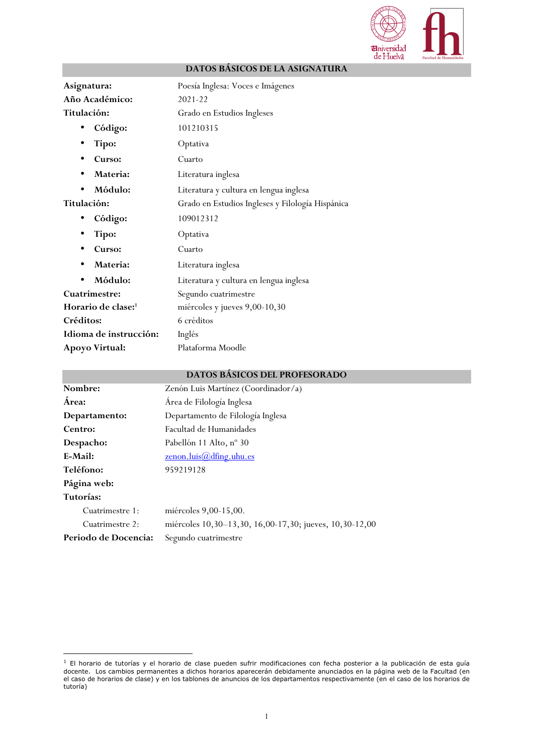

| Asignatura:                    | Poesía Inglesa: Voces e Imágenes                 |  |  |  |  |
|--------------------------------|--------------------------------------------------|--|--|--|--|
| Año Académico:                 | 2021-22                                          |  |  |  |  |
| Titulación:                    | Grado en Estudios Ingleses                       |  |  |  |  |
| Código:                        | 101210315                                        |  |  |  |  |
| Tipo:                          | Optativa                                         |  |  |  |  |
| Curso:                         | Cuarto                                           |  |  |  |  |
| Materia:                       | Literatura inglesa                               |  |  |  |  |
| Módulo:                        | Literatura y cultura en lengua inglesa           |  |  |  |  |
| Titulación:                    | Grado en Estudios Ingleses y Filología Hispánica |  |  |  |  |
| Código:                        | 109012312                                        |  |  |  |  |
| Tipo:                          | Optativa                                         |  |  |  |  |
| Curso:                         | Cuarto                                           |  |  |  |  |
| Materia:                       | Literatura inglesa                               |  |  |  |  |
| Módulo:                        | Literatura y cultura en lengua inglesa           |  |  |  |  |
| <b>Cuatrimestre:</b>           | Segundo cuatrimestre                             |  |  |  |  |
| Horario de clase: <sup>1</sup> | miércoles y jueves 9,00-10,30                    |  |  |  |  |
| Créditos:                      | 6 créditos                                       |  |  |  |  |
| Idioma de instrucción:         | Inglés                                           |  |  |  |  |
| Apoyo Virtual:                 | Plataforma Moodle                                |  |  |  |  |

# **DATOS BÁSICOS DE LA ASIGNATURA**

## **DATOS BÁSICOS DEL PROFESORADO**

| Nombre:              | Zenón Luis Martínez (Coordinador/a)                     |  |  |  |  |
|----------------------|---------------------------------------------------------|--|--|--|--|
| Área:                | Área de Filología Inglesa                               |  |  |  |  |
| Departamento:        | Departamento de Filología Inglesa                       |  |  |  |  |
| Centro:              | Facultad de Humanidades                                 |  |  |  |  |
| Despacho:            | Pabellón 11 Alto, nº 30                                 |  |  |  |  |
| E-Mail:              | $\underline{\text{zenon}.luis}$ $\text{dfing.uhu.es}$   |  |  |  |  |
| Teléfono:            | 959219128                                               |  |  |  |  |
| Página web:          |                                                         |  |  |  |  |
| Tutorías:            |                                                         |  |  |  |  |
| Cuatrimestre 1:      | miércoles 9,00-15,00.                                   |  |  |  |  |
| Cuatrimestre 2:      | miércoles 10,30–13,30, 16,00-17,30; jueves, 10,30-12,00 |  |  |  |  |
| Periodo de Docencia: | Segundo cuatrimestre                                    |  |  |  |  |

 $1$  El horario de tutorías y el horario de clase pueden sufrir modificaciones con fecha posterior a la publicación de esta guía docente. Los cambios permanentes a dichos horarios aparecerán debidamente anunciados en la página web de la Facultad (en el caso de horarios de clase) y en los tablones de anuncios de los departamentos respectivamente (en el caso de los horarios de tutoría)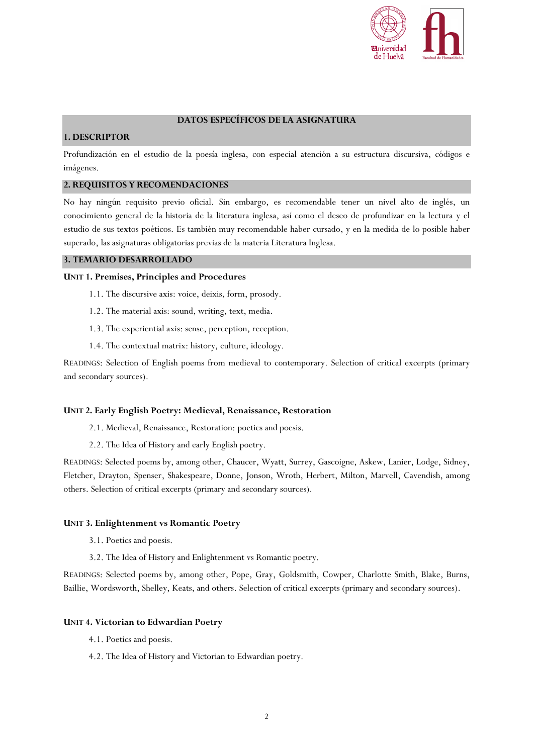

## **DATOS ESPECÍFICOS DE LA ASIGNATURA**

# **1. DESCRIPTOR**

Profundización en el estudio de la poesía inglesa, con especial atención a su estructura discursiva, códigos e imágenes.

# **2. REQUISITOS Y RECOMENDACIONES**

No hay ningún requisito previo oficial. Sin embargo, es recomendable tener un nivel alto de inglés, un conocimiento general de la historia de la literatura inglesa, así como el deseo de profundizar en la lectura y el estudio de sus textos poéticos. Es también muy recomendable haber cursado, y en la medida de lo posible haber superado, las asignaturas obligatorias previas de la materia Literatura Inglesa.

#### **3. TEMARIO DESARROLLADO**

### **UNIT 1. Premises, Principles and Procedures**

- 1.1. The discursive axis: voice, deixis, form, prosody.
- 1.2. The material axis: sound, writing, text, media.
- 1.3. The experiential axis: sense, perception, reception.
- 1.4. The contextual matrix: history, culture, ideology.

READINGS: Selection of English poems from medieval to contemporary. Selection of critical excerpts (primary and secondary sources).

### **UNIT 2. Early English Poetry: Medieval, Renaissance, Restoration**

- 2.1. Medieval, Renaissance, Restoration: poetics and poesis.
- 2.2. The Idea of History and early English poetry.

READINGS: Selected poems by, among other, Chaucer, Wyatt, Surrey, Gascoigne, Askew, Lanier, Lodge, Sidney, Fletcher, Drayton, Spenser, Shakespeare, Donne, Jonson, Wroth, Herbert, Milton, Marvell, Cavendish, among others. Selection of critical excerpts (primary and secondary sources).

### **UNIT 3. Enlightenment vs Romantic Poetry**

- 3.1. Poetics and poesis.
- 3.2. The Idea of History and Enlightenment vs Romantic poetry.

READINGS: Selected poems by, among other, Pope, Gray, Goldsmith, Cowper, Charlotte Smith, Blake, Burns, Baillie, Wordsworth, Shelley, Keats, and others. Selection of critical excerpts (primary and secondary sources).

### **UNIT 4. Victorian to Edwardian Poetry**

- 4.1. Poetics and poesis.
- 4.2. The Idea of History and Victorian to Edwardian poetry.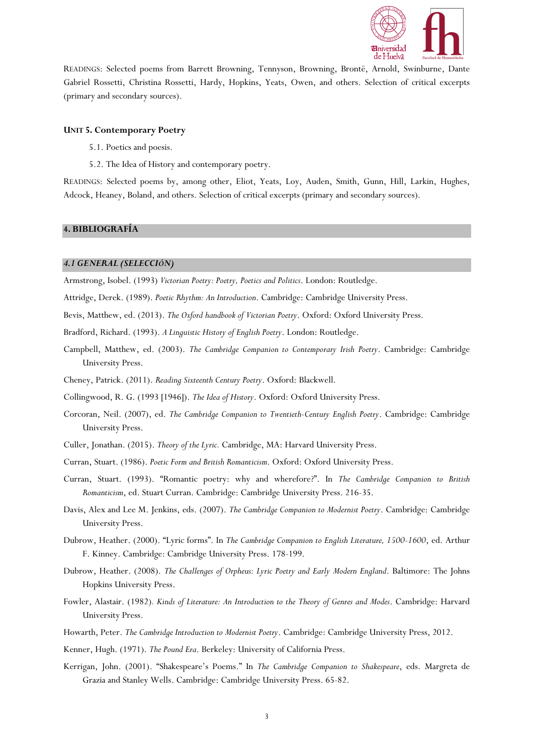

READINGS: Selected poems from Barrett Browning, Tennyson, Browning, Brontë, Arnold, Swinburne, Dante Gabriel Rossetti, Christina Rossetti, Hardy, Hopkins, Yeats, Owen, and others. Selection of critical excerpts (primary and secondary sources).

#### **UNIT 5. Contemporary Poetry**

- 5.1. Poetics and poesis.
- 5.2. The Idea of History and contemporary poetry.

READINGS: Selected poems by, among other, Eliot, Yeats, Loy, Auden, Smith, Gunn, Hill, Larkin, Hughes, Adcock, Heaney, Boland, and others. Selection of critical excerpts (primary and secondary sources).

#### **4. BIBLIOGRAFÍA**

#### *4.1 GENERAL (SELECCIÓN)*

Armstrong, Isobel. (1993) *Victorian Poetry: Poetry, Poetics and Politics*. London: Routledge.

Attridge, Derek. (1989). *Poetic Rhythm: An Introduction*. Cambridge: Cambridge University Press.

Bevis, Matthew, ed. (2013). *The Oxford handbook of Victorian Poetry*. Oxford: Oxford University Press.

Bradford, Richard. (1993). *A Linguistic History of English Poetry*. London: Routledge.

- Campbell, Matthew, ed. (2003). *The Cambridge Companion to Contemporary Irish Poetry*. Cambridge: Cambridge University Press.
- Cheney, Patrick. (2011). *Reading Sixteenth Century Poetry*. Oxford: Blackwell.

Collingwood, R. G. (1993 [1946]). *The Idea of History*. Oxford: Oxford University Press.

- Corcoran, Neil. (2007), ed. *The Cambridge Companion to Twentieth-Century English Poetry*. Cambridge: Cambridge University Press.
- Culler, Jonathan. (2015). *Theory of the Lyric.* Cambridge, MA: Harvard University Press.
- Curran, Stuart. (1986). *Poetic Form and British Romanticism*. Oxford: Oxford University Press.
- Curran, Stuart. (1993). "Romantic poetry: why and wherefore?". In *The Cambridge Companion to British Romanticism*, ed. Stuart Curran. Cambridge: Cambridge University Press. 216-35.
- Davis, Alex and Lee M. Jenkins, eds. (2007). *The Cambridge Companion to Modernist Poetry*. Cambridge: Cambridge University Press.
- Dubrow, Heather. (2000). "Lyric forms". In *The Cambridge Companion to English Literature, 1500-1600*, ed. Arthur F. Kinney. Cambridge: Cambridge University Press. 178-199.
- Dubrow, Heather. (2008). *The Challenges of Orpheus: Lyric Poetry and Early Modern England*. Baltimore: The Johns Hopkins University Press.
- Fowler, Alastair. (1982)*. Kinds of Literature: An Introduction to the Theory of Genres and Modes*. Cambridge: Harvard University Press.
- Howarth, Peter. *The Cambridge Introduction to Modernist Poetry*. Cambridge: Cambridge University Press, 2012.
- Kenner, Hugh. (1971). *The Pound Era*. Berkeley: University of California Press.
- Kerrigan, John. (2001). "Shakespeare's Poems." In *The Cambridge Companion to Shakespeare*, eds. Margreta de Grazia and Stanley Wells. Cambridge: Cambridge University Press. 65-82.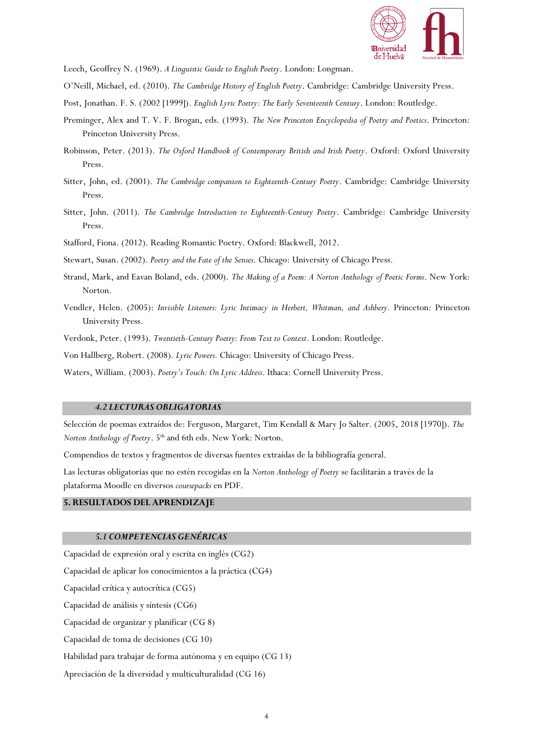

Leech, Geoffrey N. (1969). *A Linguistic Guide to English Poetry*. London: Longman.

- O'Neill, Michael, ed. (2010). *The Cambridge History of English Poetry*. Cambridge: Cambridge University Press.
- Post, Jonathan. F. S. (2002 [1999]). *English Lyric Poetry: The Early Seventeenth Century*. London: Routledge.
- Preminger, Alex and T. V. F. Brogan, eds. (1993). *The New Princeton Encyclopedia of Poetry and Poetics*. Princeton: Princeton University Press.
- Robinson, Peter. (2013). *The Oxford Handbook of Contemporary British and Irish Poetry*. Oxford: Oxford University Press.
- Sitter, John, ed. (2001). *The Cambridge companion to Eighteenth-Century Poetry*. Cambridge: Cambridge University Press.
- Sitter, John. (2011). *The Cambridge Introduction to Eighteenth-Century Poetry*. Cambridge: Cambridge University Press.

Stafford, Fiona. (2012). Reading Romantic Poetry. Oxford: Blackwell, 2012.

Stewart, Susan. (2002). *Poetry and the Fate of the Senses*. Chicago: University of Chicago Press.

- Strand, Mark, and Eavan Boland, eds. (2000). *The Making of a Poem: A Norton Anthology of Poetic Forms*. New York: Norton.
- Vendler, Helen. (2005): *Invisible Listeners: Lyric Intimacy in Herbert, Whitman, and Ashbery.* Princeton: Princeton University Press.
- Verdonk, Peter. (1993). *Twentieth-Century Poetry: From Text to Context*. London: Routledge.

Von Hallberg, Robert. (2008). *Lyric Powers.* Chicago: University of Chicago Press.

Waters, William. (2003). *Poetry's Touch: On Lyric Address*. Ithaca: Cornell University Press.

#### *4.2 LECTURAS OBLIGATORIAS*

Selección de poemas extraídos de: Ferguson, Margaret, Tim Kendall & Mary Jo Salter. (2005, 2018 [1970]). *The Norton Anthology of Poetry*. 5<sup>th</sup> and 6th eds. New York: Norton.

Compendios de textos y fragmentos de diversas fuentes extraídas de la bibliografía general.

Las lecturas obligatorias que no estén recogidas en la *Norton Anthology of Poetry* se facilitarán a través de la plataforma Moodle en diversos *coursepacks* en PDF.

### **5. RESULTADOS DEL APRENDIZAJE**

#### *5.1 COMPETENCIAS GENÉRICAS*

Capacidad de expresión oral y escrita en inglés (CG2)

Capacidad de aplicar los conocimientos a la práctica (CG4)

Capacidad crítica y autocrítica (CG5)

Capacidad de análisis y síntesis (CG6)

Capacidad de organizar y planificar (CG 8)

Capacidad de toma de decisiones (CG 10)

Habilidad para trabajar de forma autónoma y en equipo (CG 13)

Apreciación de la diversidad y multiculturalidad (CG 16)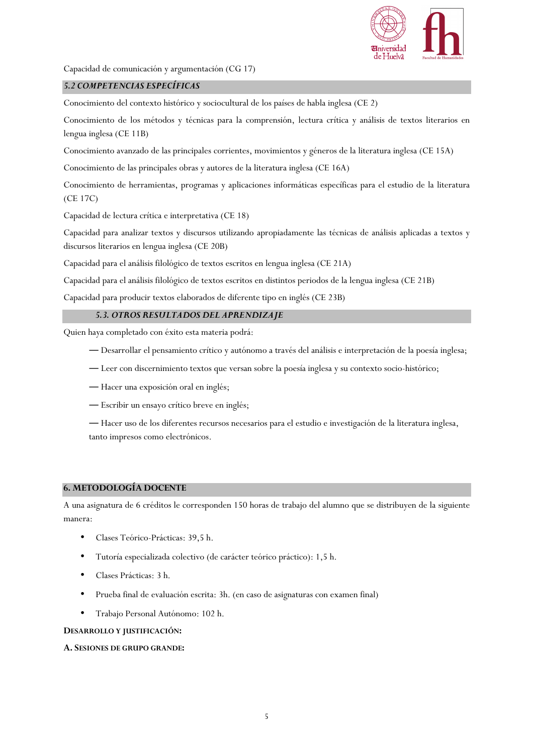

Capacidad de comunicación y argumentación (CG 17)

## *5.2 COMPETENCIAS ESPECÍFICAS*

Conocimiento del contexto histórico y sociocultural de los países de habla inglesa (CE 2)

Conocimiento de los métodos y técnicas para la comprensión, lectura crítica y análisis de textos literarios en lengua inglesa (CE 11B)

Conocimiento avanzado de las principales corrientes, movimientos y géneros de la literatura inglesa (CE 15A)

Conocimiento de las principales obras y autores de la literatura inglesa (CE 16A)

Conocimiento de herramientas, programas y aplicaciones informáticas específicas para el estudio de la literatura (CE 17C)

Capacidad de lectura crítica e interpretativa (CE 18)

Capacidad para analizar textos y discursos utilizando apropiadamente las técnicas de análisis aplicadas a textos y discursos literarios en lengua inglesa (CE 20B)

Capacidad para el análisis filológico de textos escritos en lengua inglesa (CE 21A)

Capacidad para el análisis filológico de textos escritos en distintos periodos de la lengua inglesa (CE 21B)

Capacidad para producir textos elaborados de diferente tipo en inglés (CE 23B)

## *5.3. OTROS RESULTADOS DEL APRENDIZAJE*

Quien haya completado con éxito esta materia podrá:

- ― Desarrollar el pensamiento crítico y autónomo a través del análisis e interpretación de la poesía inglesa;
- ― Leer con discernimiento textos que versan sobre la poesía inglesa y su contexto socio-histórico;
- ― Hacer una exposición oral en inglés;
- ― Escribir un ensayo crítico breve en inglés;

― Hacer uso de los diferentes recursos necesarios para el estudio e investigación de la literatura inglesa, tanto impresos como electrónicos.

### **6. METODOLOGÍA DOCENTE**

A una asignatura de 6 créditos le corresponden 150 horas de trabajo del alumno que se distribuyen de la siguiente manera:

- Clases Teórico-Prácticas: 39,5 h.
- Tutoría especializada colectivo (de carácter teórico práctico): 1,5 h.
- Clases Prácticas: 3 h.
- Prueba final de evaluación escrita: 3h. (en caso de asignaturas con examen final)
- Trabajo Personal Autónomo: 102 h.

### **DESARROLLO Y JUSTIFICACIÓN:**

### **A. SESIONES DE GRUPO GRANDE:**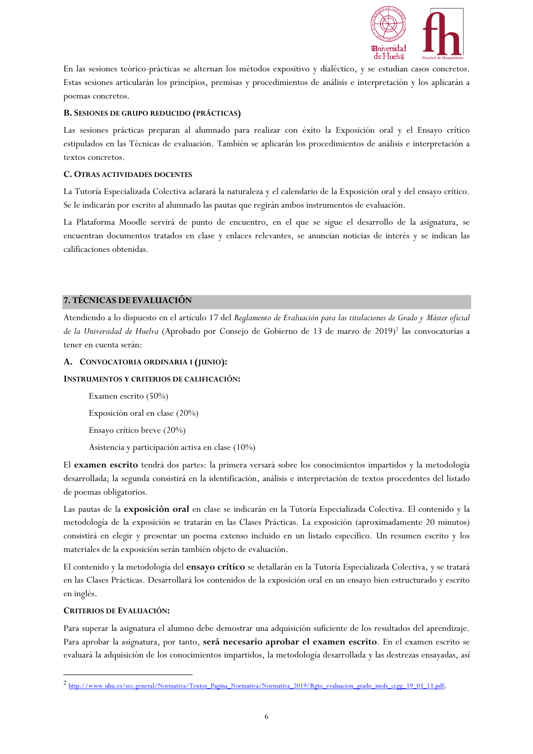

En las sesiones teórico-prácticas se alternan los métodos expositivo y dialéctico, y se estudian casos concretos. Estas sesiones articularán los principios, premisas y procedimientos de análisis e interpretación y los aplicarán a poemas concretos.

# **B. SESIONES DE GRUPO REDUCIDO (PRÁCTICAS)**

Las sesiones prácticas preparan al alumnado para realizar con éxito la Exposición oral y el Ensayo crítico estipulados en las Técnicas de evaluación. También se aplicarán los procedimientos de análisis e interpretación a textos concretos.

## **C. OTRAS ACTIVIDADES DOCENTES**

La Tutoría Especializada Colectiva aclarará la naturaleza y el calendario de la Exposición oral y del ensayo crítico. Se le indicarán por escrito al alumnado las pautas que regirán ambos instrumentos de evaluación.

La Plataforma Moodle servirá de punto de encuentro, en el que se sigue el desarrollo de la asignatura, se encuentran documentos tratados en clase y enlaces relevantes, se anuncian noticias de interés y se indican las calificaciones obtenidas.

# **7. TÉCNICAS DE EVALUACIÓN**

Atendiendo a lo dispuesto en el artículo 17 del *Reglamento de Evaluación para las titulaciones de Grado y Máster oficial*  de la Universidad de Huelva (Aprobado por Consejo de Gobierno de 13 de marzo de 2019)<sup>2</sup> las convocatorias a tener en cuenta serán:

## **A. CONVOCATORIA ORDINARIA I (JUNIO):**

### **INSTRUMENTOS Y CRITERIOS DE CALIFICACIÓN:**

Examen escrito (50%)

Exposición oral en clase (20%)

Ensayo crítico breve (20%)

Asistencia y participación activa en clase (10%)

El **examen escrito** tendrá dos partes: la primera versará sobre los conocimientos impartidos y la metodología desarrollada; la segunda consistirá en la identificación, análisis e interpretación de textos procedentes del listado de poemas obligatorios.

Las pautas de la **exposición oral** en clase se indicarán en la Tutoría Especializada Colectiva. El contenido y la metodología de la exposición se tratarán en las Clases Prácticas. La exposición (aproximadamente 20 minutos) consistirá en elegir y presentar un poema extenso incluido en un listado específico. Un resumen escrito y los materiales de la exposición serán también objeto de evaluación.

El contenido y la metodología del **ensayo crítico** se detallarán en la Tutoría Especializada Colectiva, y se tratará en las Clases Prácticas. Desarrollará los contenidos de la exposición oral en un ensayo bien estructurado y escrito en inglés.

# **CRITERIOS DE EVALUACIÓN:**

Para superar la asignatura el alumno debe demostrar una adquisición suficiente de los resultados del aprendizaje. Para aprobar la asignatura, por tanto, **será necesario aprobar el examen escrito**. En el examen escrito se evaluará la adquisición de los conocimientos impartidos, la metodología desarrollada y las destrezas ensayadas, así

<sup>2&</sup>lt;br>http://www.uhu.es/sec.general/Normativa/Textos\_Pagina\_Normativa/Normativa\_2019/Rgto\_evaluacion\_grado\_mofs\_ccgg\_19\_03\_13.pdf;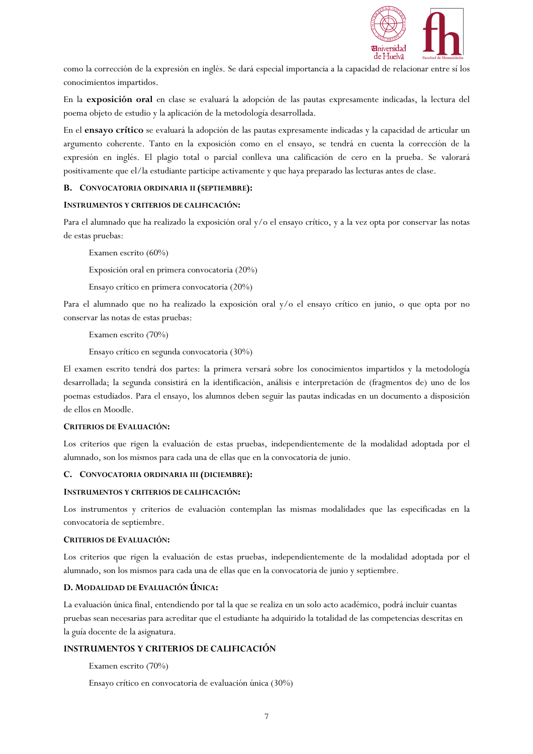

como la corrección de la expresión en inglés. Se dará especial importancia a la capacidad de relacionar entre sí los conocimientos impartidos.

En la **exposición oral** en clase se evaluará la adopción de las pautas expresamente indicadas, la lectura del poema objeto de estudio y la aplicación de la metodología desarrollada.

En el **ensayo crítico** se evaluará la adopción de las pautas expresamente indicadas y la capacidad de articular un argumento coherente. Tanto en la exposición como en el ensayo, se tendrá en cuenta la corrección de la expresión en inglés. El plagio total o parcial conlleva una calificación de cero en la prueba. Se valorará positivamente que el/la estudiante participe activamente y que haya preparado las lecturas antes de clase.

### **B. CONVOCATORIA ORDINARIA II (SEPTIEMBRE):**

## **INSTRUMENTOS Y CRITERIOS DE CALIFICACIÓN:**

Para el alumnado que ha realizado la exposición oral y/o el ensayo crítico, y a la vez opta por conservar las notas de estas pruebas:

Examen escrito (60%)

Exposición oral en primera convocatoria (20%)

Ensayo crítico en primera convocatoria (20%)

Para el alumnado que no ha realizado la exposición oral y/o el ensayo crítico en junio, o que opta por no conservar las notas de estas pruebas:

Examen escrito (70%)

Ensayo crítico en segunda convocatoria (30%)

El examen escrito tendrá dos partes: la primera versará sobre los conocimientos impartidos y la metodología desarrollada; la segunda consistirá en la identificación, análisis e interpretación de (fragmentos de) uno de los poemas estudiados. Para el ensayo, los alumnos deben seguir las pautas indicadas en un documento a disposición de ellos en Moodle.

### **CRITERIOS DE EVALUACIÓN:**

Los criterios que rigen la evaluación de estas pruebas, independientemente de la modalidad adoptada por el alumnado, son los mismos para cada una de ellas que en la convocatoria de junio.

### **C. CONVOCATORIA ORDINARIA III (DICIEMBRE):**

### **INSTRUMENTOS Y CRITERIOS DE CALIFICACIÓN:**

Los instrumentos y criterios de evaluación contemplan las mismas modalidades que las especificadas en la convocatoria de septiembre.

# **CRITERIOS DE EVALUACIÓN:**

Los criterios que rigen la evaluación de estas pruebas, independientemente de la modalidad adoptada por el alumnado, son los mismos para cada una de ellas que en la convocatoria de junio y septiembre.

# **D. MODALIDAD DE EVALUACIÓN ÚNICA:**

La evaluación única final, entendiendo por tal la que se realiza en un solo acto académico, podrá incluir cuantas pruebas sean necesarias para acreditar que el estudiante ha adquirido la totalidad de las competencias descritas en la guía docente de la asignatura.

# **INSTRUMENTOS Y CRITERIOS DE CALIFICACIÓN**

Examen escrito (70%)

Ensayo crítico en convocatoria de evaluación única (30%)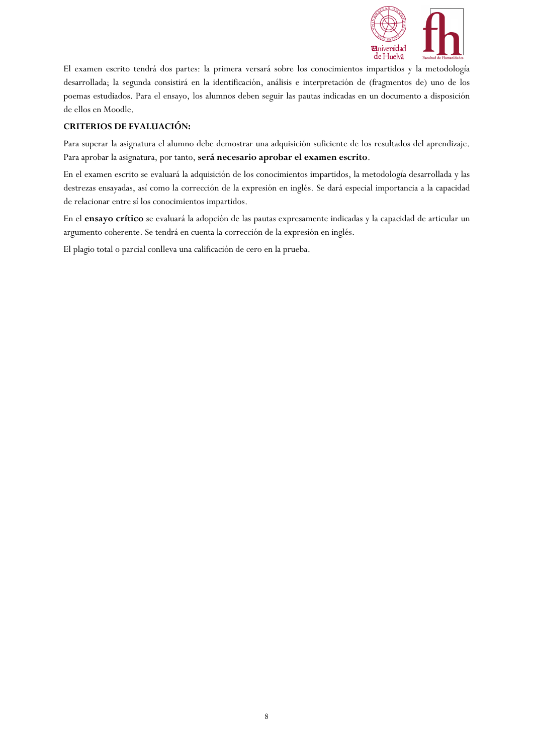

El examen escrito tendrá dos partes: la primera versará sobre los conocimientos impartidos y la metodología desarrollada; la segunda consistirá en la identificación, análisis e interpretación de (fragmentos de) uno de los poemas estudiados. Para el ensayo, los alumnos deben seguir las pautas indicadas en un documento a disposición de ellos en Moodle.

# **CRITERIOS DE EVALUACIÓN:**

Para superar la asignatura el alumno debe demostrar una adquisición suficiente de los resultados del aprendizaje. Para aprobar la asignatura, por tanto, **será necesario aprobar el examen escrito**.

En el examen escrito se evaluará la adquisición de los conocimientos impartidos, la metodología desarrollada y las destrezas ensayadas, así como la corrección de la expresión en inglés. Se dará especial importancia a la capacidad de relacionar entre sí los conocimientos impartidos.

En el **ensayo crítico** se evaluará la adopción de las pautas expresamente indicadas y la capacidad de articular un argumento coherente. Se tendrá en cuenta la corrección de la expresión en inglés.

El plagio total o parcial conlleva una calificación de cero en la prueba.